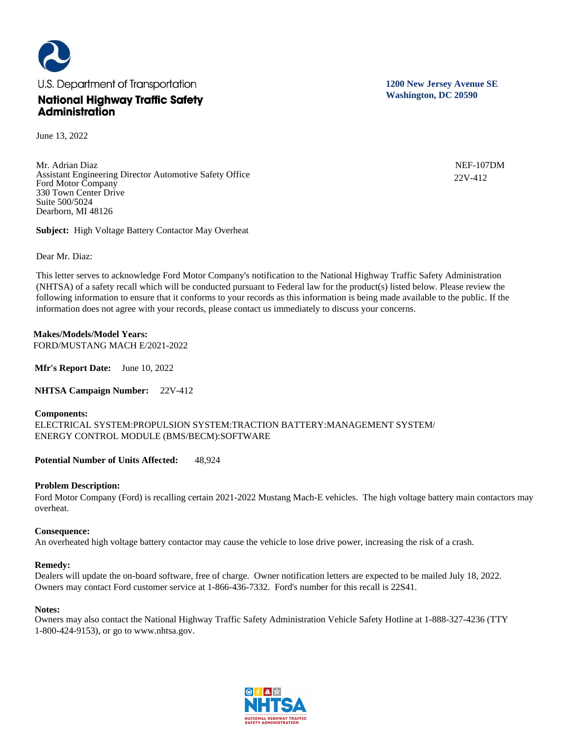

June 13, 2022

Mr. Adrian Diaz Assistant Engineering Director Automotive Safety Office Ford Motor Company 330 Town Center Drive Suite 500/5024 Dearborn, MI 48126

**Subject:** High Voltage Battery Contactor May Overheat

Dear Mr. Diaz:

This letter serves to acknowledge Ford Motor Company's notification to the National Highway Traffic Safety Administration (NHTSA) of a safety recall which will be conducted pursuant to Federal law for the product(s) listed below. Please review the following information to ensure that it conforms to your records as this information is being made available to the public. If the information does not agree with your records, please contact us immediately to discuss your concerns.

# **Makes/Models/Model Years:**

FORD/MUSTANG MACH E/2021-2022

**Mfr's Report Date:** June 10, 2022

**NHTSA Campaign Number:** 22V-412

#### **Components:**

ELECTRICAL SYSTEM:PROPULSION SYSTEM:TRACTION BATTERY:MANAGEMENT SYSTEM/ ENERGY CONTROL MODULE (BMS/BECM):SOFTWARE

**Potential Number of Units Affected:** 48,924

## **Problem Description:**

Ford Motor Company (Ford) is recalling certain 2021-2022 Mustang Mach-E vehicles. The high voltage battery main contactors may overheat.

#### **Consequence:**

An overheated high voltage battery contactor may cause the vehicle to lose drive power, increasing the risk of a crash.

#### **Remedy:**

Dealers will update the on-board software, free of charge. Owner notification letters are expected to be mailed July 18, 2022. Owners may contact Ford customer service at 1-866-436-7332. Ford's number for this recall is 22S41.

#### **Notes:**

Owners may also contact the National Highway Traffic Safety Administration Vehicle Safety Hotline at 1-888-327-4236 (TTY 1-800-424-9153), or go to www.nhtsa.gov.



**1200 New Jersey Avenue SE Washington, DC 20590**

> NEF-107DM 22V-412